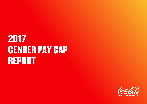# 2017 GENDER PAY GAP REPORT

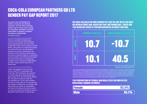# COCA-COLA EUROPEAN PARTNERS GB LTD GENDER PAY GAP REPORT 2017

**As part of our commitment to build an inclusive and diverse business, we have been tracking gender pay for many years across our European operations and that information is publicly available through our stakeholder [progress report.](https://www.ccep.com/system/file_resources/2031/stakeholder-progress-report-2016.pdf)**

We are committed to fostering an inclusive environment and promoting equal opportunities for all. The Senior Leadership Team of our business in Great Britain, along with our Corporate Diversity & Inclusion Council, has developed a detailed action plan outlining how we will build a more inclusive culture with a key focus on gender balance. In particular, we have made a commitment that women will hold at least 50% of management positions in our business in Great Britain by 2025. Today, women hold 35% of these roles.

Under UK legislation that came into force in April 2017, businesses with more than 250 employees are required to publish data about their gender pay gap by April 2018, and this report reflects the calculations required under this UK legislation for Coca-Cola European Partners (CCEP) GB Ltd. The gender pay gap relates to differences in average male and female pay within an organisation and does not compare the pay received by men and women for doing the same or equivalent work (known as equal pay).

### WE HAVE CALCULATED OUR GENDER PAY GAP IN LINE WITH THE NEW UK REGULATIONS AND, BASED ON THAT METHODOLOGY, THESE ARE THE HEADLINE RESULTS FOR OUR BUSINESS IN GREAT BRITAIN:



Figures as of 5th April 2017

*A positive percentage figure represents female employees having lower pay or bonuses than male employees. A negative percentage figure represents female employees having higher pay or bonuses than male employees. Mean is commonly known as "average"; the*  mean gender pay gap is the difference in the average hourly pay for female employees within a company compared to that of male<br>employees. Median represents the middle point of a population; in the case of gender pay gap, t *a company and all the men. Statisticians prefer to use median data to find the average gender pay gap because this data point is not affected by extreme values such as changes in the earnings of small numbers of high earners.*

# THE PROPORTION OF FEMALE AND MALE CCEP GB EMPLOYEES RECEIVING A BONUS PAYMENT:

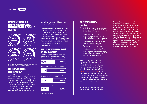# WE ALSO REPORT ON THE PROPORTION OF EMPLOYEES FROM EACH GENDER IN EACH PAY QUARTILE:



*Quartiles represent the pay rates from the lowest to the highest for our GB employees, split into four equal sized groups. These graphs show the percentage of men and women in each quartile.*

## UNDERSTANDING OUR GENDER PAY GAP:

In Great Britain, we make, sell and deliver some of the country's best-selling soft drinks brands. We are a large local employer and our roots are firmly based within the communities in which we do business. We employ 3,600 people across England, Scotland and Wales in manufacturing sites, distribution depots and offices, as well as having

a significant national field-based and home-based salesforce.

Our head office in Great Britain is also home to our corporate headquarters for Europe, which means our gender pay gap data includes information relating to those members of CCEP PLC's global Senior Leadership Team who are based in this country. The global Senior Leadership Team comprises our Chief Executive Officer and all his direct reports.

#### FEMALE AND MALE EMPLOYEES BY BUSINESS AREA\*

Corporate functions (senior leadership team, commercial development, corporate strategy, finance, HR, IT, Legal and communications)



Supply Chain (Manufacturing and logistics)



Commercial (Field sales, national sales, marketing and strategic planning)



*\*Totals as of December 2017*

#### WHAT DOES OUR DATA TELL US?

The analysis of our data tells us that our gender pay gap as of 5<sup>th</sup> April 2017 arises as a result of two key factors:

- Fewer women hold the most senior positions within our business in Great Britain, including those within the Senior Leadership Team and at our Vice President/ Director level of management.
- We employ more men than women in our manufacturing operations and this is where we have a significant number of highly technical and shift-based roles which attract a pay premium.

How do we compare with other businesses? Every company is different, so direct comparisons are hard to make. However, our gender pay gap (using the median figure) is 10.7% while data released by the shows that the national gender pay gap for all employees is 18.4%\*\*. We are committed to taking the actions that will improve the diversity of our business and help us to reduce our gender pay gap. *\*\*ONS 2017*

When looking at gender pay gaps, statisticians such as the Office for

National Statistics prefer to analyse median data points because these are not impacted as much by outlying values, such as the earnings of small numbers of very senior leaders. In our case, this is particularly important when looking at data for the gender bonus pay gap: our mean figure of 40.5% includes our global Senior Leadership Team (note) also that bonus payments under these regulations include stock awards), while the median figure shows our female colleagues earn a 10.7% higher bonus on average than male colleagues.